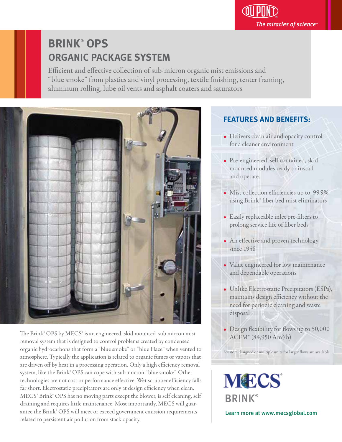# **BRINK**®  **OPS ORGANIC PACKAGE SYSTEM**

Efficient and effective collection of sub-micron organic mist emissions and "blue smoke" from plastics and vinyl processing, textile finishing, tenter framing, aluminum rolling, lube oil vents and asphalt coaters and saturators



The Brink® OPS by MECS® is an engineered, skid mounted sub micron mist removal system that is designed to control problems created by condensed organic hydrocarbons that form a "blue smoke" or "blue Haze" when vented to atmosphere. Typically the application is related to organic fumes or vapors that are driven off by heat in a processing operation. Only a high efficiency removal system, like the Brink® OPS can cope with sub-micron "blue smoke". Other technologies are not cost or performance effective. Wet scrubber efficiency falls far short. Electrostatic precipitators are only at design efficiency when clean. MECS' Brink® OPS has no moving parts except the blower, is self cleaning, self draining and requires little maintenance. Most importantly, MECS will guarantee the Brink® OPS will meet or exceed government emission requirements related to persistent air pollution from stack opacity.

### **FEATURES AND BENEFITS:**

- Delivers clean air and opacity control for a cleaner environment
- Pre-engineered, self contained, skid mounted modules ready to install and operate.
- Mist collection efficiencies up to 99.9% using Brink® ber bed mist eliminators
- Easily replaceable inlet pre-filters to prolong service life of fiber beds
- An effective and proven technology since 1958
- Value engineered for low maintenance and dependable operations
- Unlike Electrostatic Precipitators (ESPs), maintains design efficiency without the need for periodic cleaning and waste disposal
- Design flexibility for flows up to 50,000  $ACFM*(84,950 Am<sup>3</sup>/h)$

\*custom designed or multiple units for larger flows are available

**MECS BRINK®** 

Learn more at www.mecsglobal.com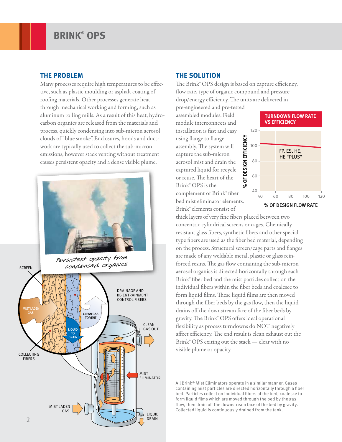#### **THE PROBLEM**

Many processes require high temperatures to be effective, such as plastic moulding or asphalt coating of roofing materials. Other processes generate heat through mechanical working and forming, such as aluminum rolling mills. As a result of this heat, hydrocarbon organics are released from the materials and process, quickly condensing into sub-micron aerosol clouds of "blue smoke". Enclosures, hoods and ductwork are typically used to collect the sub-micron emissions, however stack venting without treatment causes persistent opacity and a dense visible plume.



### **THE SOLUTION**

The Brink® OPS design is based on capture efficiency, flow rate, type of organic compound and pressure drop/energy efficiency. The units are delivered in

pre-engineered and pre-tested assembled modules. Field module interconnects and installation is fast and easy using flange to flange assembly. The system will capture the sub-micron aerosol mist and drain the captured liquid for recycle or reuse. The heart of the Brink® OPS is the complement of Brink® fiber bed mist eliminator elements. Brink® elements consist of



thick layers of very fine fibers placed between two concentric cylindrical screens or cages. Chemically resistant glass fibers, synthetic fibers and other special type fibers are used as the fiber bed material, depending on the process. Structural screen/cage parts and flanges are made of any weldable metal, plastic or glass reinforced resins. The gas flow containing the sub-micron aerosol organics is directed horizontally through each Brink® ber bed and the mist particles collect on the individual fibers within the fiber beds and coalesce to form liquid films. These liquid films are then moved through the fiber beds by the gas flow, then the liquid drains off the downstream face of the fiber beds by gravity. The Brink® OPS offers ideal operational flexibility as process turndowns do NOT negatively affect efficiency. The end result is clean exhaust out the Brink® OPS exiting out the stack — clear with no visible plume or opacity.

All Brink® Mist Eliminators operate in a similar manner. Gases containing mist particles are directed horizontally through a fiber bed. Particles collect on individual fibers of the bed, coalesce to form liquid films which are moved through the bed by the gas flow, then drain off the downstream face of the bed by gravity. Collected liquid is continuously drained from the tank.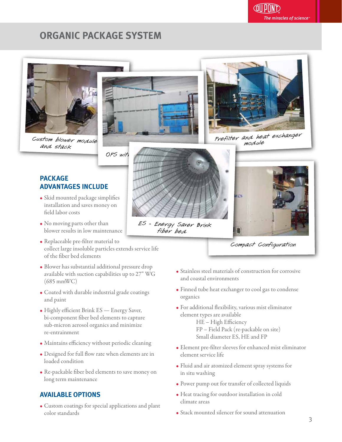### **ORGANIC PACKAGE SYSTEM**



Custom blower module and stack





 Prefilter and heat exchanger module





- Skid mounted package simplifies installation and saves money on field labor costs
- No moving parts other than blower results in low maintenance
- Replaceable pre-filter material to collect large insoluble particles extends service life of the fiber bed elements
- Blower has substantial additional pressure drop available with suction capabilities up to 27" WG (685 mmWC)
- Coated with durable industrial grade coatings and paint
- Highly efficient Brink ES Energy Saver, bi-component fiber bed elements to capture sub-micron aerosol organics and minimize re-entrainment
- Maintains efficiency without periodic cleaning
- Designed for full flow rate when elements are in loaded condition
- Re-packable fiber bed elements to save money on long term maintenance

### **AVAILABLE OPTIONS**

• Custom coatings for special applications and plant color standards



ES - Energy Saver Brink fiber bed



Compact Configuration

- Stainless steel materials of construction for corrosive and coastal environments
- Finned tube heat exchanger to cool gas to condense organics
- $\bullet$  For additional flexibility, various mist eliminator element types are available

HE - High Efficiency FP – Field Pack (re-packable on site) Small diameter ES, HE and FP

- Element pre-filter sleeves for enhanced mist eliminator element service life
- Fluid and air atomized element spray systems for in situ washing
- Power pump out for transfer of collected liquids
- Heat tracing for outdoor installation in cold climate areas
- Stack mounted silencer for sound attenuation